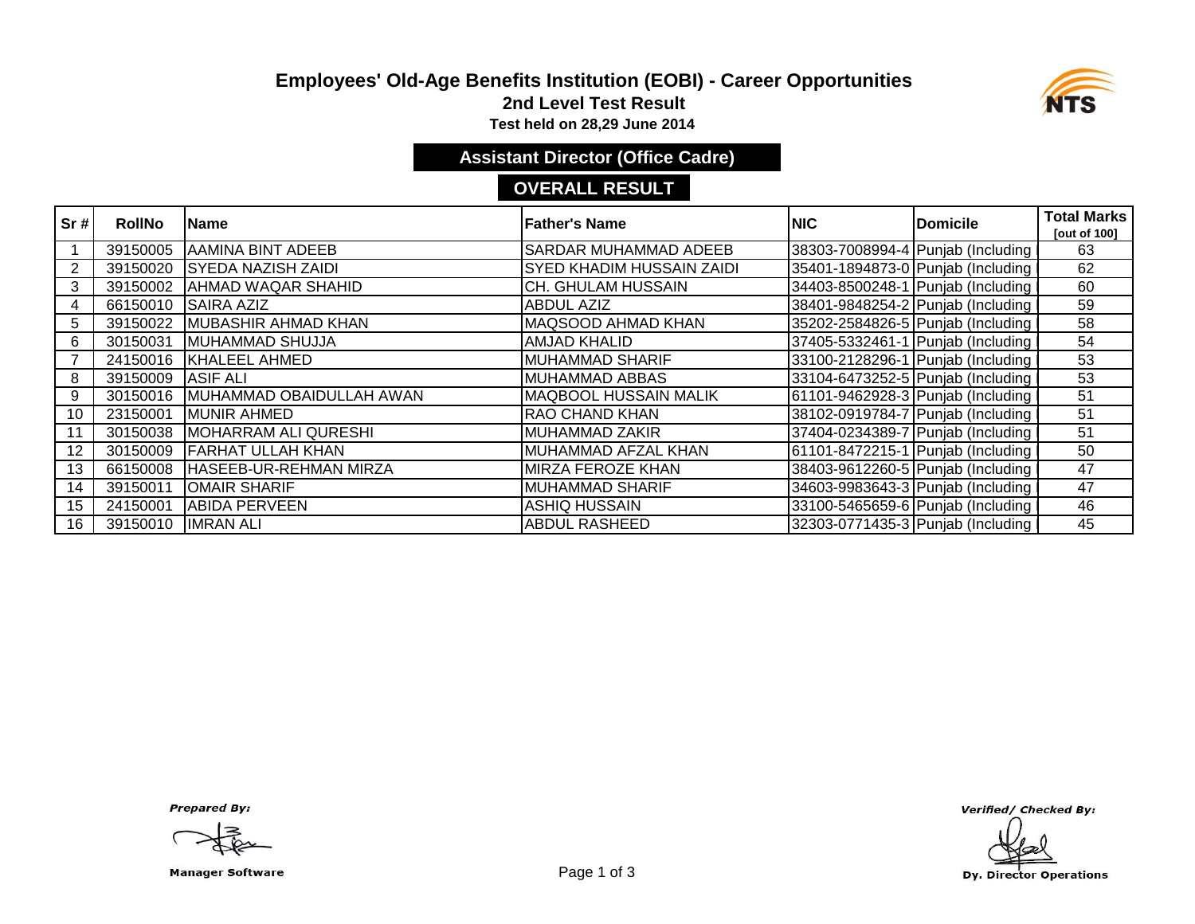# **Employees' Old-Age Benefits Institution (EOBI) - Career Opportunities**



**2nd Level Test Result**

**Test held on 28,29 June 2014** 

### **Assistant Director (Office Cadre)**

#### **OVERALL RESULT**

| $\overline{\text{sr}}$ # | <b>RollNo</b> | <b>IName</b>              | lFather's Name                   | <b>NIC</b> | <b>Domicile</b>                     | <b>Total Marks</b><br>[out of 100] |
|--------------------------|---------------|---------------------------|----------------------------------|------------|-------------------------------------|------------------------------------|
|                          | 39150005      | <b>AAMINA BINT ADEEB</b>  | <b>SARDAR MUHAMMAD ADEEB</b>     |            | 38303-7008994-4 Punjab (Including I | 63                                 |
| 2                        | 39150020      | <b>SYEDA NAZISH ZAIDI</b> | <b>SYED KHADIM HUSSAIN ZAIDI</b> |            | 35401-1894873-0 Punjab (Including I | 62                                 |
| 3                        | 39150002      | <b>AHMAD WAQAR SHAHID</b> | <b>CH. GHULAM HUSSAIN</b>        |            | 34403-8500248-1 Punjab (Including I | 60                                 |
| 4                        | 66150010      | <b>SAIRA AZIZ</b>         | <b>ABDUL AZIZ</b>                |            | 38401-9848254-2 Punjab (Including   | 59                                 |
| 5.                       | 39150022      | MUBASHIR AHMAD KHAN       | <b>MAQSOOD AHMAD KHAN</b>        |            | 35202-2584826-5 Punjab (Including I | 58                                 |
| 6                        | 30150031      | MUHAMMAD SHUJJA           | <b>AMJAD KHALID</b>              |            | 37405-5332461-1 Punjab (Including I | 54                                 |
|                          | 24150016      | <b>KHALEEL AHMED</b>      | <b>MUHAMMAD SHARIF</b>           |            | 33100-2128296-1 Punjab (Including I | 53                                 |
| 8                        | 39150009      | <b>ASIF ALI</b>           | <b>MUHAMMAD ABBAS</b>            |            | 33104-6473252-5 Punjab (Including   | 53                                 |
| 9                        | 30150016      | MUHAMMAD OBAIDULLAH AWAN  | <b>MAQBOOL HUSSAIN MALIK</b>     |            | 61101-9462928-3 Punjab (Including   | 51                                 |
| 10                       | 23150001      | <b>MUNIR AHMED</b>        | <b>RAO CHAND KHAN</b>            |            | 38102-0919784-7 Punjab (Including   | 51                                 |
| 11                       | 30150038      | MOHARRAM ALI QURESHI      | <b>MUHAMMAD ZAKIR</b>            |            | 37404-0234389-7 Punjab (Including   | 51                                 |
| 12                       | 30150009      | <b>FARHAT ULLAH KHAN</b>  | MUHAMMAD AFZAL KHAN              |            | 61101-8472215-1 Punjab (Including I | 50                                 |
| 13                       | 66150008      | HASEEB-UR-REHMAN MIRZA    | <b>MIRZA FEROZE KHAN</b>         |            | 38403-9612260-5 Punjab (Including I | 47                                 |
| 14                       | 39150011      | <b>OMAIR SHARIF</b>       | <b>MUHAMMAD SHARIF</b>           |            | 34603-9983643-3 Punjab (Including   | 47                                 |
| 15                       | 24150001      | <b>ABIDA PERVEEN</b>      | <b>ASHIQ HUSSAIN</b>             |            | 33100-5465659-6 Punjab (Including   | 46                                 |
| 16                       | 39150010      | <b>IMRAN ALI</b>          | <b>ABDUL RASHEED</b>             |            | 32303-0771435-3 Punjab (Including   | 45                                 |

**Prepared By:** 

Manager Software **Example 2 and Software** Page 1 of 3

Verified/ Checked By:

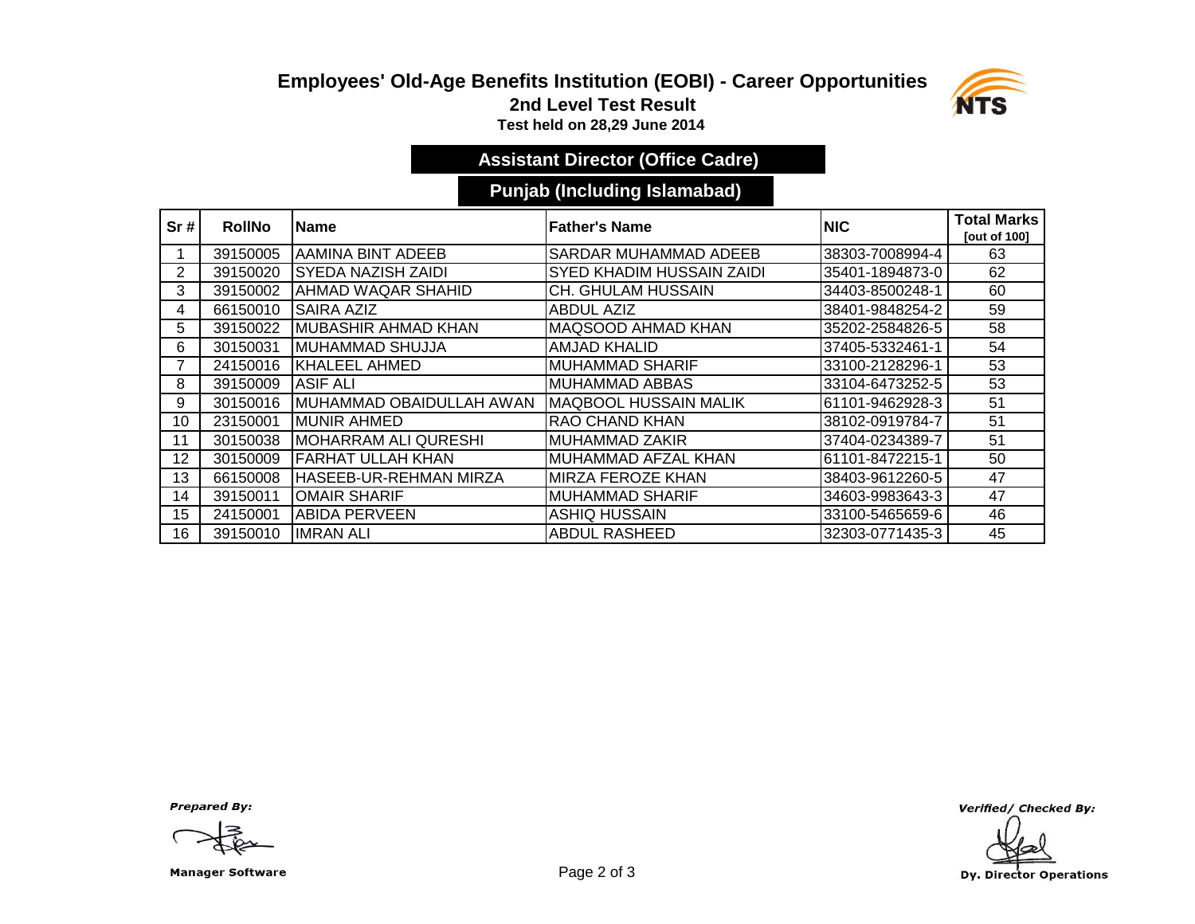### **Employees' Old-Age Benefits Institution (EOBI) - Career Opportunities 2nd Level Test Result**



**Test held on 28,29 June 2014** 

# **Assistant Director (Office Cadre)**

### **Punjab (Including Islamabad)**

| Sr#             | <b>RollNo</b> | lName                       | <b>Father's Name</b>             | <b>NIC</b>      | <b>Total Marks</b><br><b>Tout of 1001</b> |
|-----------------|---------------|-----------------------------|----------------------------------|-----------------|-------------------------------------------|
|                 | 39150005      | AAMINA BINT ADEEB           | <b>SARDAR MUHAMMAD ADEEB</b>     | 38303-7008994-4 | 63                                        |
| 2               | 39150020      | <b>SYEDA NAZISH ZAIDI</b>   | <b>SYED KHADIM HUSSAIN ZAIDI</b> | 35401-1894873-0 | 62                                        |
| 3               | 39150002      | AHMAD WAQAR SHAHID          | <b>CH. GHULAM HUSSAIN</b>        | 34403-8500248-1 | 60                                        |
| 4               | 66150010      | <b>SAIRA AZIZ</b>           | <b>ABDUL AZIZ</b>                | 38401-9848254-2 | 59                                        |
| 5.              | 39150022      | <b>MUBASHIR AHMAD KHAN</b>  | <b>MAQSOOD AHMAD KHAN</b>        | 35202-2584826-5 | 58                                        |
| 6               | 30150031      | <b>MUHAMMAD SHUJJA</b>      | <b>AMJAD KHALID</b>              | 37405-5332461-1 | 54                                        |
|                 | 24150016      | KHALEEL AHMED               | <b>MUHAMMAD SHARIF</b>           | 33100-2128296-1 | 53                                        |
| 8               | 39150009      | ASIF ALI                    | <b>MUHAMMAD ABBAS</b>            | 33104-6473252-5 | 53                                        |
| 9               | 30150016      | IMUHAMMAD OBAIDULLAH AWAN   | <b>MAQBOOL HUSSAIN MALIK</b>     | 61101-9462928-3 | 51                                        |
| 10              | 23150001      | <b>MUNIR AHMED</b>          | <b>RAO CHAND KHAN</b>            | 38102-0919784-7 | 51                                        |
| 11              | 30150038      | <b>MOHARRAM ALI QURESHI</b> | <b>MUHAMMAD ZAKIR</b>            | 37404-0234389-7 | 51                                        |
| 12 <sup>2</sup> | 30150009      | FARHAT ULLAH KHAN           | MUHAMMAD AFZAL KHAN              | 61101-8472215-1 | 50                                        |
| 13              | 66150008      | HASEEB-UR-REHMAN MIRZA      | <b>MIRZA FEROZE KHAN</b>         | 38403-9612260-5 | 47                                        |
| 14              | 39150011      | <b>OMAIR SHARIF</b>         | <b>MUHAMMAD SHARIF</b>           | 34603-9983643-3 | 47                                        |
| 15              | 24150001      | <b>ABIDA PERVEEN</b>        | ASHIQ HUSSAIN                    | 33100-5465659-6 | 46                                        |
| 16              | 39150010      | <b>IMRAN ALI</b>            | ABDUL RASHEED                    | 32303-0771435-3 | 45                                        |

**Prepared By:** 

Manager Software **Example 2 of 3** 

Verified/ Checked By:

Dy. Director Operations